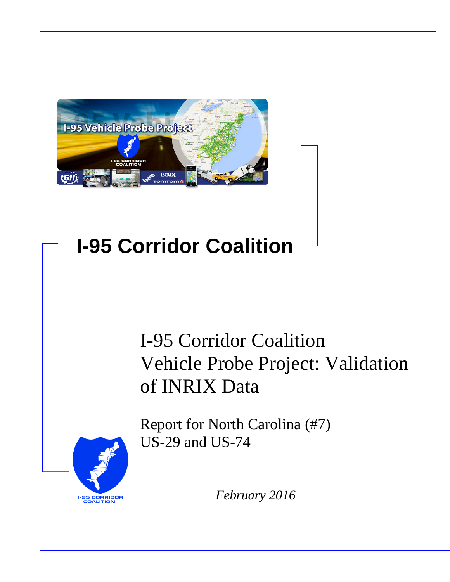

# **I-95 Corridor Coalition**

# I-95 Corridor Coalition Vehicle Probe Project: Validation of INRIX Data

**I-95 CORRIDOR**<br>COALITION

Report for North Carolina (#7) US-29 and US-74

*February 2016*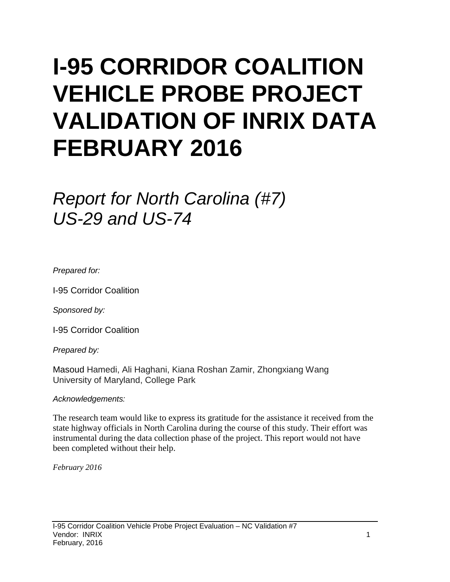# **I-95 CORRIDOR COALITION VEHICLE PROBE PROJECT VALIDATION OF INRIX DATA FEBRUARY 2016**

# *Report for North Carolina (#7) US-29 and US-74*

*Prepared for:*

I-95 Corridor Coalition

*Sponsored by:*

I-95 Corridor Coalition

*Prepared by:*

Masoud Hamedi, Ali Haghani, Kiana Roshan Zamir, Zhongxiang Wang University of Maryland, College Park

## *Acknowledgements:*

The research team would like to express its gratitude for the assistance it received from the state highway officials in North Carolina during the course of this study. Their effort was instrumental during the data collection phase of the project. This report would not have been completed without their help.

*February 2016*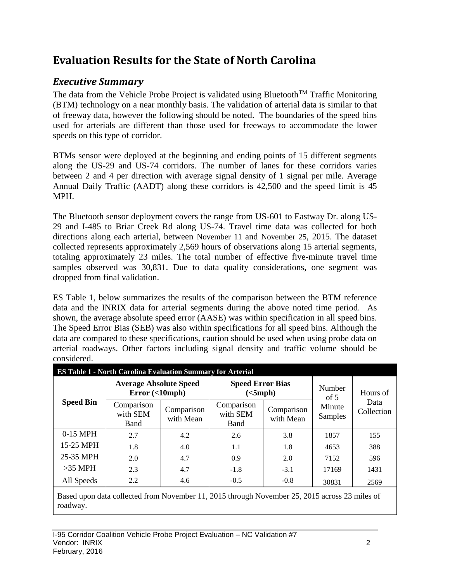# **Evaluation Results for the State of North Carolina**

# *Executive Summary*

The data from the Vehicle Probe Project is validated using Bluetooth<sup>TM</sup> Traffic Monitoring (BTM) technology on a near monthly basis. The validation of arterial data is similar to that of freeway data, however the following should be noted. The boundaries of the speed bins used for arterials are different than those used for freeways to accommodate the lower speeds on this type of corridor.

BTMs sensor were deployed at the beginning and ending points of 15 different segments along the US-29 and US-74 corridors. The number of lanes for these corridors varies between 2 and 4 per direction with average signal density of 1 signal per mile. Average Annual Daily Traffic (AADT) along these corridors is 42,500 and the speed limit is 45 MPH.

The Bluetooth sensor deployment covers the range from US-601 to Eastway Dr. along US-29 and I-485 to Briar Creek Rd along US-74. Travel time data was collected for both directions along each arterial, between November 11 and November 25, 2015. The dataset collected represents approximately 2,569 hours of observations along 15 arterial segments, totaling approximately 23 miles. The total number of effective five-minute travel time samples observed was 30,831. Due to data quality considerations, one segment was dropped from final validation.

ES Table 1, below summarizes the results of the comparison between the BTM reference data and the INRIX data for arterial segments during the above noted time period. As shown, the average absolute speed error (AASE) was within specification in all speed bins. The Speed Error Bias (SEB) was also within specifications for all speed bins. Although the data are compared to these specifications, caution should be used when using probe data on arterial roadways. Other factors including signal density and traffic volume should be considered.

| <b>ES Table 1 - North Carolina Evaluation Summary for Arterial</b> |                                                |                         |                                     |                         |                   |                    |  |  |  |  |
|--------------------------------------------------------------------|------------------------------------------------|-------------------------|-------------------------------------|-------------------------|-------------------|--------------------|--|--|--|--|
| <b>Speed Bin</b>                                                   | <b>Average Absolute Speed</b><br>Error(<10mph) |                         | <b>Speed Error Bias</b><br>(<5 mph) |                         | Number<br>of $5$  | Hours of           |  |  |  |  |
|                                                                    | Comparison<br>with SEM<br>Band                 | Comparison<br>with Mean | Comparison<br>with SEM<br>Band      | Comparison<br>with Mean | Minute<br>Samples | Data<br>Collection |  |  |  |  |
| 0-15 MPH                                                           | 2.7                                            | 4.2                     | 2.6                                 | 3.8                     | 1857              | 155                |  |  |  |  |
| 15-25 MPH                                                          | 1.8                                            | 4.0                     | 1.1                                 | 1.8                     | 4653              | 388                |  |  |  |  |
| 25-35 MPH                                                          | 2.0                                            | 4.7                     | 0.9                                 | 2.0                     | 7152              | 596                |  |  |  |  |
| $>35$ MPH                                                          | 2.3<br>4.7                                     |                         | $-1.8$                              | $-3.1$                  | 17169             | 1431               |  |  |  |  |
| All Speeds                                                         | 2.2                                            | 4.6                     | $-0.5$                              | $-0.8$                  | 30831             | 2569               |  |  |  |  |

Based upon data collected from November 11, 2015 through November 25, 2015 across 23 miles of roadway.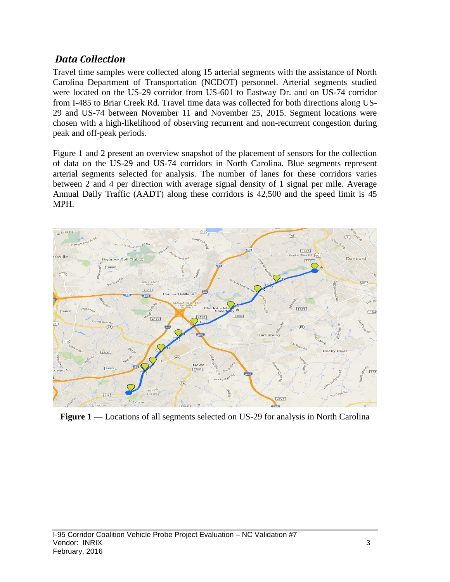## *Data Collection*

Travel time samples were collected along 15 arterial segments with the assistance of North Carolina Department of Transportation (NCDOT) personnel. Arterial segments studied were located on the US-29 corridor from US-601 to Eastway Dr. and on US-74 corridor from I-485 to Briar Creek Rd. Travel time data was collected for both directions along US-29 and US-74 between November 11 and November 25, 2015. Segment locations were chosen with a high-likelihood of observing recurrent and non-recurrent congestion during peak and off-peak periods.

Figure 1 and 2 present an overview snapshot of the placement of sensors for the collection of data on the US-29 and US-74 corridors in North Carolina. Blue segments represent arterial segments selected for analysis. The number of lanes for these corridors varies between 2 and 4 per direction with average signal density of 1 signal per mile. Average Annual Daily Traffic (AADT) along these corridors is 42,500 and the speed limit is 45 MPH.



**Figure 1** — Locations of all segments selected on US-29 for analysis in North Carolina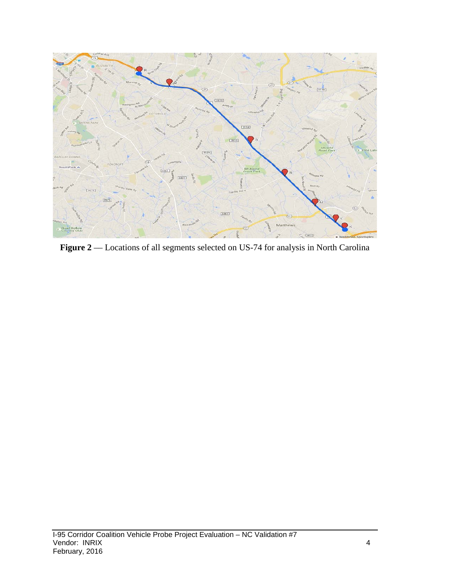

Figure 2 –– Locations of all segments selected on US-74 for analysis in North Carolina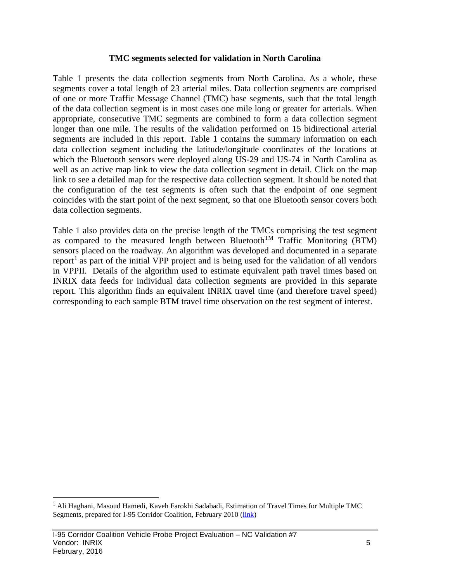#### **TMC segments selected for validation in North Carolina**

Table 1 presents the data collection segments from North Carolina. As a whole, these segments cover a total length of 23 arterial miles. Data collection segments are comprised of one or more Traffic Message Channel (TMC) base segments, such that the total length of the data collection segment is in most cases one mile long or greater for arterials. When appropriate, consecutive TMC segments are combined to form a data collection segment longer than one mile. The results of the validation performed on 15 bidirectional arterial segments are included in this report. Table 1 contains the summary information on each data collection segment including the latitude/longitude coordinates of the locations at which the Bluetooth sensors were deployed along US-29 and US-74 in North Carolina as well as an active map link to view the data collection segment in detail. Click on the map link to see a detailed map for the respective data collection segment. It should be noted that the configuration of the test segments is often such that the endpoint of one segment coincides with the start point of the next segment, so that one Bluetooth sensor covers both data collection segments.

Table 1 also provides data on the precise length of the TMCs comprising the test segment as compared to the measured length between Bluetooth<sup>TM</sup> Traffic Monitoring (BTM) sensors placed on the roadway. An algorithm was developed and documented in a separate report<sup>[1](#page-5-0)</sup> as part of the initial VPP project and is being used for the validation of all vendors in VPPII. Details of the algorithm used to estimate equivalent path travel times based on INRIX data feeds for individual data collection segments are provided in this separate report. This algorithm finds an equivalent INRIX travel time (and therefore travel speed) corresponding to each sample BTM travel time observation on the test segment of interest.

<span id="page-5-0"></span><sup>&</sup>lt;sup>1</sup> Ali Haghani, Masoud Hamedi, Kaveh Farokhi Sadabadi, Estimation of Travel Times for Multiple TMC Segments, prepared for I-95 Corridor Coalition, February 2010 [\(link\)](http://www.i95coalition.org/wp-content/uploads/2015/02/I-95-CC-Estimation-of-Travel-Times-for-Multiple-TMC-Segments-FINAL2.pdf)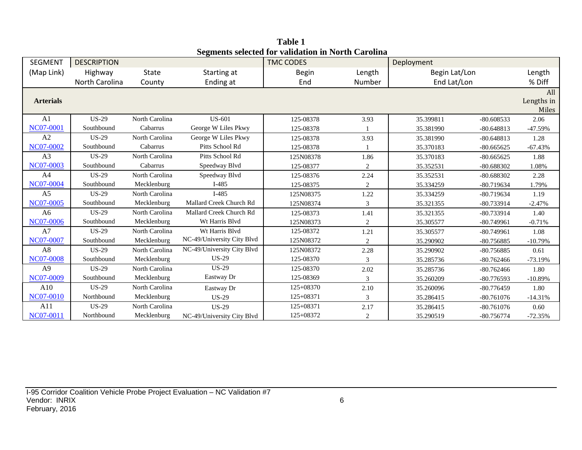| <b>SEGMENT</b>   | <b>DESCRIPTION</b> |                |                            | beginems selected for vanuation in fiorul carolina<br><b>TMC CODES</b> |                | Deployment    |              |                            |
|------------------|--------------------|----------------|----------------------------|------------------------------------------------------------------------|----------------|---------------|--------------|----------------------------|
| (Map Link)       | Highway            | State          | Starting at                | Begin                                                                  | Length         | Begin Lat/Lon |              | Length                     |
|                  | North Carolina     | County         | Ending at                  | End                                                                    | Number         | End Lat/Lon   |              | % Diff                     |
| <b>Arterials</b> |                    |                |                            |                                                                        |                |               |              | All<br>Lengths in<br>Miles |
| A <sub>1</sub>   | <b>US-29</b>       | North Carolina | <b>US-601</b>              | 125-08378                                                              | 3.93           | 35.399811     | $-80.608533$ | 2.06                       |
| <b>NC07-0001</b> | Southbound         | Cabarrus       | George W Liles Pkwy        | 125-08378                                                              |                | 35.381990     | $-80.648813$ | $-47.59%$                  |
| A2               | <b>US-29</b>       | North Carolina | George W Liles Pkwy        | 125-08378                                                              | 3.93           | 35.381990     | $-80.648813$ | 1.28                       |
| NC07-0002        | Southbound         | Cabarrus       | Pitts School Rd            | 125-08378                                                              |                | 35.370183     | $-80.665625$ | $-67.43%$                  |
| A3               | <b>US-29</b>       | North Carolina | Pitts School Rd            | 125N08378                                                              | 1.86           | 35.370183     | $-80.665625$ | 1.88                       |
| NC07-0003        | Southbound         | Cabarrus       | Speedway Blvd              | 125-08377                                                              | 2              | 35.352531     | $-80.688302$ | 1.08%                      |
| A <sub>4</sub>   | <b>US-29</b>       | North Carolina | Speedway Blvd              | 125-08376                                                              | 2.24           | 35.352531     | $-80.688302$ | 2.28                       |
| NC07-0004        | Southbound         | Mecklenburg    | $I-485$                    | 125-08375                                                              | $\overline{2}$ | 35.334259     | $-80.719634$ | 1.79%                      |
| A <sub>5</sub>   | <b>US-29</b>       | North Carolina | $I-485$                    | 125N08375                                                              | 1.22           | 35.334259     | $-80.719634$ | 1.19                       |
| NC07-0005        | Southbound         | Mecklenburg    | Mallard Creek Church Rd    | 125N08374                                                              | 3              | 35.321355     | $-80.733914$ | $-2.47%$                   |
| A <sub>6</sub>   | <b>US-29</b>       | North Carolina | Mallard Creek Church Rd    | 125-08373                                                              | 1.41           | 35.321355     | $-80.733914$ | 1.40                       |
| <b>NC07-0006</b> | Southbound         | Mecklenburg    | Wt Harris Blvd             | 125N08373                                                              | 2              | 35.305577     | $-80.749961$ | $-0.71%$                   |
| A7               | <b>US-29</b>       | North Carolina | Wt Harris Blvd             | 125-08372                                                              | 1.21           | 35.305577     | $-80.749961$ | 1.08                       |
| <b>NC07-0007</b> | Southbound         | Mecklenburg    | NC-49/University City Blvd | 125N08372                                                              | 2              | 35.290902     | $-80.756885$ | $-10.79%$                  |
| A8               | <b>US-29</b>       | North Carolina | NC-49/University City Blvd | 125N08372                                                              | 2.28           | 35.290902     | $-80.756885$ | 0.61                       |
| <b>NC07-0008</b> | Southbound         | Mecklenburg    | $US-29$                    | 125-08370                                                              | 3              | 35.285736     | $-80.762466$ | $-73.19%$                  |
| A <sup>9</sup>   | <b>US-29</b>       | North Carolina | $US-29$                    | 125-08370                                                              | 2.02           | 35.285736     | $-80.762466$ | 1.80                       |
| NC07-0009        | Southbound         | Mecklenburg    | Eastway Dr                 | 125-08369                                                              | 3              | 35.260209     | $-80.776593$ | $-10.89%$                  |
| A10              | $US-29$            | North Carolina | Eastway Dr                 | 125+08370                                                              | 2.10           | 35.260096     | $-80.776459$ | 1.80                       |
| NC07-0010        | Northbound         | Mecklenburg    | <b>US-29</b>               | 125+08371                                                              | 3              | 35.286415     | $-80.761076$ | $-14.31%$                  |
| A11              | <b>US-29</b>       | North Carolina | <b>US-29</b>               | 125+08371                                                              | 2.17           | 35.286415     | $-80.761076$ | 0.60                       |
| <b>NC07-0011</b> | Northbound         | Mecklenburg    | NC-49/University City Blvd | 125+08372                                                              | 2              | 35.290519     | $-80.756774$ | $-72.35%$                  |

**Table 1 Segments selected for validation in North Carolina**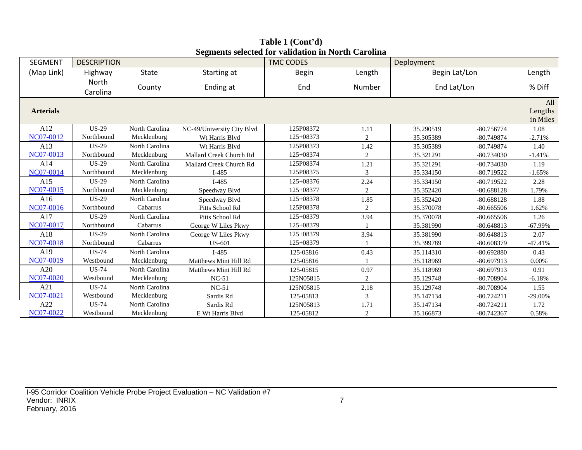| <b>SEGMENT</b>   | <b>DESCRIPTION</b> |                |                            | beginents selected for vandation in For the carbinit<br><b>TMC CODES</b> |                | Deployment    |              |                            |
|------------------|--------------------|----------------|----------------------------|--------------------------------------------------------------------------|----------------|---------------|--------------|----------------------------|
| (Map Link)       | Highway            | <b>State</b>   | Starting at                | <b>Begin</b>                                                             | Length         | Begin Lat/Lon |              | Length                     |
|                  | North<br>Carolina  | County         | Ending at                  | End                                                                      | Number         | End Lat/Lon   |              | % Diff                     |
| <b>Arterials</b> |                    |                |                            |                                                                          |                |               |              | All<br>Lengths<br>in Miles |
| A12              | <b>US-29</b>       | North Carolina | NC-49/University City Blvd | 125P08372                                                                | 1.11           | 35.290519     | $-80.756774$ | 1.08                       |
| NC07-0012        | Northbound         | Mecklenburg    | Wt Harris Blvd             | $125 + 08373$                                                            | $\overline{2}$ | 35.305389     | $-80.749874$ | $-2.71%$                   |
| A13              | $US-29$            | North Carolina | Wt Harris Blvd             | 125P08373                                                                | 1.42           | 35.305389     | $-80.749874$ | 1.40                       |
| NC07-0013        | Northbound         | Mecklenburg    | Mallard Creek Church Rd    | 125+08374                                                                | $\overline{2}$ | 35.321291     | $-80.734030$ | $-1.41%$                   |
| A14              | $US-29$            | North Carolina | Mallard Creek Church Rd    | 125P08374                                                                | 1.21           | 35.321291     | $-80.734030$ | 1.19                       |
| NC07-0014        | Northbound         | Mecklenburg    | $I-485$                    | 125P08375                                                                | 3              | 35.334150     | $-80.719522$ | $-1.65%$                   |
| A15              | $US-29$            | North Carolina | $I-485$                    | $125+08376$                                                              | 2.24           | 35.334150     | $-80.719522$ | 2.28                       |
| NC07-0015        | Northbound         | Mecklenburg    | Speedway Blvd              | 125+08377                                                                | $\overline{2}$ | 35.352420     | $-80.688128$ | 1.79%                      |
| A16              | $US-29$            | North Carolina | Speedway Blvd              | $125+08378$                                                              | 1.85           | 35.352420     | $-80.688128$ | 1.88                       |
| NC07-0016        | Northbound         | Cabarrus       | Pitts School Rd            | 125P08378                                                                | 2              | 35.370078     | $-80.665506$ | 1.62%                      |
| A17              | $US-29$            | North Carolina | Pitts School Rd            | $125+08379$                                                              | 3.94           | 35.370078     | $-80.665506$ | 1.26                       |
| <b>NC07-0017</b> | Northbound         | Cabarrus       | George W Liles Pkwy        | 125+08379                                                                |                | 35.381990     | $-80.648813$ | $-67.99%$                  |
| A18              | $US-29$            | North Carolina | George W Liles Pkwy        | 125+08379                                                                | 3.94           | 35.381990     | $-80.648813$ | 2.07                       |
| NC07-0018        | Northbound         | Cabarrus       | <b>US-601</b>              | 125+08379                                                                |                | 35.399789     | $-80.608379$ | $-47.41%$                  |
| A19              | $US-74$            | North Carolina | $I-485$                    | 125-05816                                                                | 0.43           | 35.114310     | $-80.692880$ | 0.43                       |
| NC07-0019        | Westbound          | Mecklenburg    | Matthews Mint Hill Rd      | 125-05816                                                                |                | 35.118969     | $-80.697913$ | 0.00%                      |
| A20              | <b>US-74</b>       | North Carolina | Matthews Mint Hill Rd      | 125-05815                                                                | 0.97           | 35.118969     | $-80.697913$ | 0.91                       |
| <b>NC07-0020</b> | Westbound          | Mecklenburg    | $NC-51$                    | 125N05815                                                                | 2              | 35.129748     | -80.708904   | $-6.18%$                   |
| A21              | US-74              | North Carolina | $NC-51$                    | 125N05815                                                                | 2.18           | 35.129748     | -80.708904   | 1.55                       |
| NC07-0021        | Westbound          | Mecklenburg    | Sardis Rd                  | 125-05813                                                                | 3              | 35.147134     | $-80.724211$ | $-29.00\%$                 |
| A22              | <b>US-74</b>       | North Carolina | Sardis Rd                  | 125N05813                                                                | 1.71           | 35.147134     | $-80.724211$ | 1.72                       |
| <b>NC07-0022</b> | Westbound          | Mecklenburg    | E Wt Harris Blvd           | 125-05812                                                                | 2              | 35.166873     | $-80.742367$ | 0.58%                      |

**Table 1 (Cont'd) Segments selected for validation in North Carolina**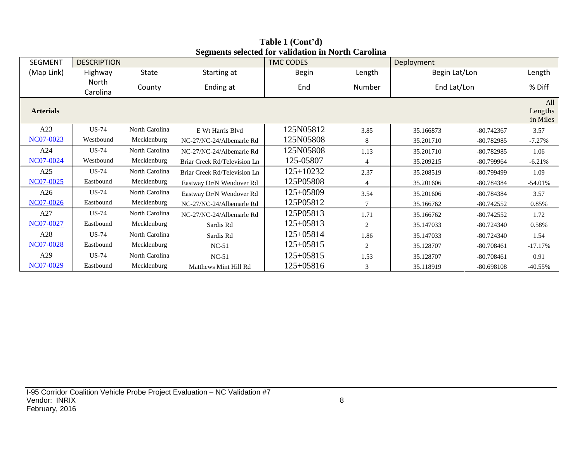| SEGMENT          | <b>DESCRIPTION</b> |                |                              | <b>TMC CODES</b> |                | Deployment    |              |                            |
|------------------|--------------------|----------------|------------------------------|------------------|----------------|---------------|--------------|----------------------------|
| (Map Link)       | Highway            | State          | Starting at                  | <b>Begin</b>     | Length         | Begin Lat/Lon |              | Length                     |
|                  | North<br>Carolina  | County         | Ending at                    | End              | Number         | End Lat/Lon   |              | % Diff                     |
| <b>Arterials</b> |                    |                |                              |                  |                |               |              | All<br>Lengths<br>in Miles |
| A23              | US-74              | North Carolina | E Wt Harris Blvd             | 125N05812        | 3.85           | 35.166873     | $-80.742367$ | 3.57                       |
| NC07-0023        | Westbound          | Mecklenburg    | NC-27/NC-24/Albemarle Rd     | 125N05808        | 8              | 35.201710     | $-80.782985$ | $-7.27%$                   |
| A24              | US-74              | North Carolina | NC-27/NC-24/Albemarle Rd     | 125N05808        | 1.13           | 35.201710     | $-80.782985$ | 1.06                       |
| NC07-0024        | Westbound          | Mecklenburg    | Briar Creek Rd/Television Ln | 125-05807        | $\overline{4}$ | 35.209215     | -80.799964   | $-6.21%$                   |
| A25              | US-74              | North Carolina | Briar Creek Rd/Television Ln | 125+10232        | 2.37           | 35.208519     | $-80.799499$ | 1.09                       |
| NC07-0025        | Eastbound          | Mecklenburg    | Eastway Dr/N Wendover Rd     | 125P05808        | 4              | 35.201606     | -80.784384   | $-54.01%$                  |
| A26              | <b>US-74</b>       | North Carolina | Eastway Dr/N Wendover Rd     | 125+05809        | 3.54           | 35.201606     | $-80.784384$ | 3.57                       |
| NC07-0026        | Eastbound          | Mecklenburg    | NC-27/NC-24/Albemarle Rd     | 125P05812        | 7              | 35.166762     | $-80.742552$ | 0.85%                      |
| A27              | <b>US-74</b>       | North Carolina | NC-27/NC-24/Albemarle Rd     | 125P05813        | 1.71           | 35.166762     | $-80.742552$ | 1.72                       |
| NC07-0027        | Eastbound          | Mecklenburg    | Sardis Rd                    | 125+05813        | $\overline{2}$ | 35.147033     | $-80.724340$ | 0.58%                      |
| A28              | <b>US-74</b>       | North Carolina | Sardis Rd                    | 125+05814        | 1.86           | 35.147033     | $-80.724340$ | 1.54                       |
| NC07-0028        | Eastbound          | Mecklenburg    | $NC-51$                      | 125+05815        | 2              | 35.128707     | $-80.708461$ | $-17.17\%$                 |
| A29              | US-74              | North Carolina | $NC-51$                      | 125+05815        | 1.53           | 35.128707     | $-80.708461$ | 0.91                       |
| NC07-0029        | Eastbound          | Mecklenburg    | Matthews Mint Hill Rd        | 125+05816        | 3              | 35.118919     | $-80.698108$ | $-40.55\%$                 |

**Table 1 (Cont'd) Segments selected for validation in North Carolina**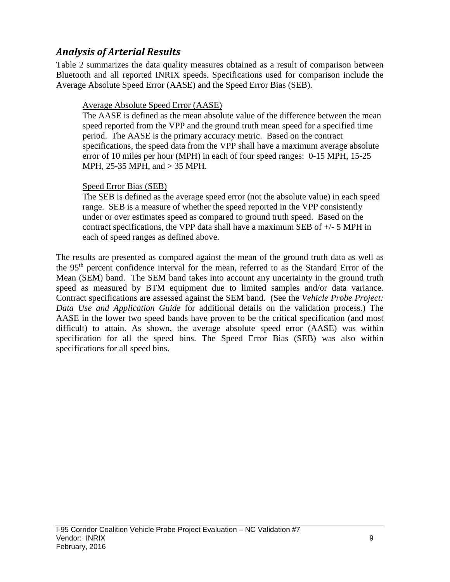# *Analysis of Arterial Results*

Table 2 summarizes the data quality measures obtained as a result of comparison between Bluetooth and all reported INRIX speeds. Specifications used for comparison include the Average Absolute Speed Error (AASE) and the Speed Error Bias (SEB).

## Average Absolute Speed Error (AASE)

The AASE is defined as the mean absolute value of the difference between the mean speed reported from the VPP and the ground truth mean speed for a specified time period. The AASE is the primary accuracy metric. Based on the contract specifications, the speed data from the VPP shall have a maximum average absolute error of 10 miles per hour (MPH) in each of four speed ranges: 0-15 MPH, 15-25 MPH, 25-35 MPH, and > 35 MPH.

#### Speed Error Bias (SEB)

The SEB is defined as the average speed error (not the absolute value) in each speed range. SEB is a measure of whether the speed reported in the VPP consistently under or over estimates speed as compared to ground truth speed. Based on the contract specifications, the VPP data shall have a maximum SEB of +/- 5 MPH in each of speed ranges as defined above.

The results are presented as compared against the mean of the ground truth data as well as the 95th percent confidence interval for the mean, referred to as the Standard Error of the Mean (SEM) band. The SEM band takes into account any uncertainty in the ground truth speed as measured by BTM equipment due to limited samples and/or data variance. Contract specifications are assessed against the SEM band. (See the *Vehicle Probe Project: Data Use and Application Guide* for additional details on the validation process.) The AASE in the lower two speed bands have proven to be the critical specification (and most difficult) to attain. As shown, the average absolute speed error (AASE) was within specification for all the speed bins. The Speed Error Bias (SEB) was also within specifications for all speed bins.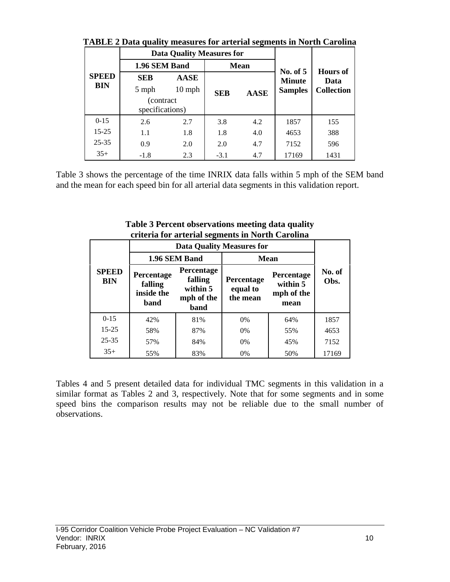|                            | I ADLE 2 Data quality incasules for alterial segments in fiorul Carolina |                                  |            |             |                             |                                              |  |
|----------------------------|--------------------------------------------------------------------------|----------------------------------|------------|-------------|-----------------------------|----------------------------------------------|--|
|                            |                                                                          | <b>Data Quality Measures for</b> |            |             |                             | <b>Hours</b> of<br>Data<br><b>Collection</b> |  |
|                            | 1.96 SEM Band                                                            |                                  |            | <b>Mean</b> |                             |                                              |  |
| <b>SPEED</b><br><b>BIN</b> | <b>SEB</b>                                                               | <b>AASE</b>                      |            |             | No. of $5$<br><b>Minute</b> |                                              |  |
|                            | 5 mph                                                                    | $10$ mph                         | <b>SEB</b> | <b>AASE</b> | <b>Samples</b>              |                                              |  |
|                            | (contract)<br>specifications)                                            |                                  |            |             |                             |                                              |  |
| $0 - 15$                   | 2.6                                                                      | 2.7                              | 3.8        | 4.2         | 1857                        | 155                                          |  |
| $15 - 25$                  | 1.1                                                                      | 1.8                              | 1.8        | 4.0         | 4653                        | 388                                          |  |
| $25 - 35$                  | 0.9                                                                      | 2.0                              | 2.0        | 4.7         | 7152                        | 596                                          |  |
| $35+$                      | $-1.8$                                                                   | 2.3                              | $-3.1$     | 4.7         | 17169                       | 1431                                         |  |

**TABLE 2 Data quality measures for arterial segments in North Carolina**

Table 3 shows the percentage of the time INRIX data falls within 5 mph of the SEM band and the mean for each speed bin for all arterial data segments in this validation report.

|                            |                                             |                                                         | eriteria for arterial seguients in fortur Carolina |                                              |                |
|----------------------------|---------------------------------------------|---------------------------------------------------------|----------------------------------------------------|----------------------------------------------|----------------|
|                            |                                             |                                                         | <b>Data Quality Measures for</b>                   |                                              |                |
|                            |                                             | 1.96 SEM Band                                           | <b>Mean</b>                                        |                                              |                |
| <b>SPEED</b><br><b>BIN</b> | Percentage<br>falling<br>inside the<br>band | Percentage<br>falling<br>within 5<br>mph of the<br>band | Percentage<br>equal to<br>the mean                 | Percentage<br>within 5<br>mph of the<br>mean | No. of<br>Obs. |
| $0 - 15$                   | 42%                                         | 81%                                                     | $0\%$                                              | 64%                                          | 1857           |
| $15 - 25$                  | 58%                                         | 87%                                                     | $0\%$                                              | 55%                                          | 4653           |
| $25 - 35$                  | 57%                                         | 84%                                                     | $0\%$                                              | 45%                                          | 7152           |
| $35+$                      | 55%                                         | 83%                                                     | 0%                                                 | 50%                                          | 17169          |

**Table 3 Percent observations meeting data quality criteria for arterial segments in North Carolina**

Tables 4 and 5 present detailed data for individual TMC segments in this validation in a similar format as Tables 2 and 3, respectively. Note that for some segments and in some speed bins the comparison results may not be reliable due to the small number of observations.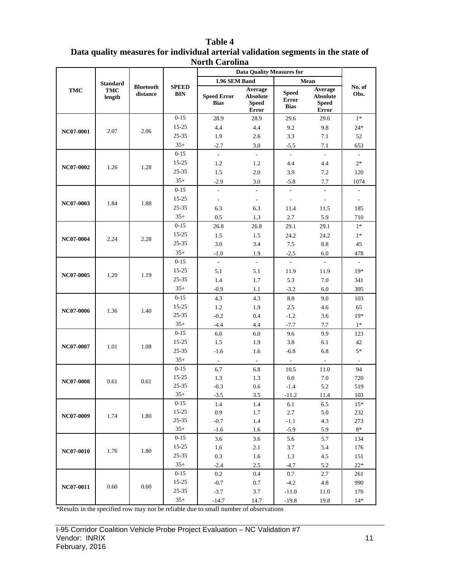|                  | <b>Standard</b>      |                              |                            | 1.96 SEM Band                     | <b>Data Quality Measures for</b>                    |                                             | Mean                                                       |                          |         |      |       |
|------------------|----------------------|------------------------------|----------------------------|-----------------------------------|-----------------------------------------------------|---------------------------------------------|------------------------------------------------------------|--------------------------|---------|------|-------|
| <b>TMC</b>       | <b>TMC</b><br>length | <b>Bluetooth</b><br>distance | <b>SPEED</b><br><b>BIN</b> | <b>Speed Error</b><br><b>Bias</b> | Average<br><b>Absolute</b><br><b>Speed</b><br>Error | <b>Speed</b><br><b>Error</b><br><b>Bias</b> | Average<br><b>Absolute</b><br><b>Speed</b><br><b>Error</b> | No. of<br>Obs.           |         |      |       |
|                  |                      |                              | $0 - 15$                   | 28.9                              | 28.9                                                | 29.6                                        | 29.6                                                       | $1*$                     |         |      |       |
|                  |                      |                              | $15 - 25$                  | 4.4                               | 4.4                                                 | 9.2                                         | 9.8                                                        | $24*$                    |         |      |       |
| NC07-0001        | 2.07                 | 2.06                         | $25 - 35$                  | 1.9                               | 2.6                                                 | 3.3                                         | 7.1                                                        | 52                       |         |      |       |
|                  |                      |                              | $35+$                      | $-2.7$                            | 3.0                                                 | $-5.5$                                      | 7.1                                                        | 653                      |         |      |       |
|                  |                      |                              | $0 - 15$                   | $\omega$                          | $\mathbb{Z}^{\mathbb{Z}}$                           | $\sim$                                      | $\mathcal{L}_{\mathcal{A}}$                                | $\mathcal{L}$            |         |      |       |
| NC07-0002        |                      | 1.28                         | $15 - 25$                  | 1.2                               | 1.2                                                 | 4.4                                         | 4.4                                                        | $2*$                     |         |      |       |
|                  | 1.26                 |                              | 25-35                      | 1.5                               | 2.0                                                 | 3.9                                         | 7.2                                                        | 120                      |         |      |       |
|                  |                      |                              | $35+$                      | $-2.9$                            | 3.0                                                 | $-5.8$                                      | 7.7                                                        | 1074                     |         |      |       |
|                  |                      |                              | $0 - 15$                   | $\blacksquare$                    | $\overline{\phantom{a}}$                            | $\overline{\phantom{a}}$                    | $\sim$                                                     | $\overline{\phantom{a}}$ |         |      |       |
| NC07-0003        | 1.84                 | 1.88                         | $15 - 25$                  | $\overline{\phantom{a}}$          | $\overline{\phantom{a}}$                            | $\overline{\phantom{a}}$                    | $\overline{\phantom{a}}$                                   | $\overline{\phantom{a}}$ |         |      |       |
|                  |                      |                              | $25 - 35$                  | 6.3                               | 6.3                                                 | 11.4                                        | 11.5                                                       | 185                      |         |      |       |
|                  |                      |                              | $35+$                      | 0.5                               | 1.3                                                 | 2.7                                         | 5.9                                                        | 710                      |         |      |       |
|                  |                      |                              | $0 - 15$                   | 26.8                              | 26.8                                                | 29.1                                        | 29.1                                                       | $1*$                     |         |      |       |
| NC07-0004        | 2.24                 | 2.28                         | $15 - 25$                  | 1.5                               | 1.5                                                 | 24.2                                        | 24.2                                                       | $1*$                     |         |      |       |
|                  |                      |                              | $25 - 35$                  | 3.0                               | 3.4                                                 | $7.5\,$                                     | 8.8                                                        | 45                       |         |      |       |
|                  |                      |                              | $35+$                      | $-1.0$                            | 1.9                                                 | $-2.5$                                      | 6.0                                                        | 478                      |         |      |       |
|                  |                      |                              | $0 - 15$                   | $\overline{\phantom{a}}$          | $\mathbb{L}$                                        | $\mathcal{L}^{\pm}$                         | $\overline{\phantom{a}}$                                   | $\overline{\phantom{a}}$ |         |      |       |
| NC07-0005        | 1.20                 |                              | $15 - 25$                  | 5.1                               | 5.1                                                 | 11.9                                        | 11.9                                                       | $19*$                    |         |      |       |
|                  |                      | 1.19                         | $25 - 35$                  | 1.4                               | 1.7                                                 | 5.3                                         | 7.0                                                        | 341                      |         |      |       |
|                  |                      |                              | $35+$                      | $-0.9$                            | 1.1                                                 | $-3.2$                                      | 6.0                                                        | 305                      |         |      |       |
|                  |                      |                              |                            | $0 - 15$                          | 4.3                                                 | 4.3                                         | 8.8                                                        | 9.0                      | 103     |      |       |
| NC07-0006        | 1.36                 | 1.40                         | $15 - 25$                  | 1.2                               | 1.9                                                 | 2.5                                         | 4.6                                                        | 65                       |         |      |       |
|                  |                      |                              | $25 - 35$                  | $-0.2$                            | 0.4                                                 | $-1.2$                                      | 3.6                                                        | $19*$                    |         |      |       |
|                  |                      |                              | $35+$                      | $-4.4$                            | 4.4                                                 | $-7.7$                                      | 7.7                                                        | $1^\ast$                 |         |      |       |
|                  |                      |                              | $0 - 15$                   | $6.0\,$                           | 6.0                                                 | 9.6                                         | 9.9                                                        | 123                      |         |      |       |
| NC07-0007        | 1.01                 | 1.08                         | $15 - 25$                  | 1.5                               | 1.9                                                 | 3.8                                         | 6.1                                                        | 42                       |         |      |       |
|                  |                      |                              | $25 - 35$                  | $-1.6$                            | 1.6                                                 | $-6.8$                                      | 6.8                                                        | $5*$                     |         |      |       |
|                  |                      |                              | $35+$                      | $\sim$                            | $\sim$                                              | $\omega$                                    | $\sim$                                                     | $\blacksquare$           |         |      |       |
|                  |                      |                              | $0 - 15$                   | 6.7                               | 6.8                                                 | 10.5                                        | 11.0                                                       | 94                       |         |      |       |
| <b>NC07-0008</b> | 0.61                 | 0.61                         | $15 - 25$<br>$25 - 35$     | 1.3                               | 1.3                                                 | $6.0\,$                                     | 7.0                                                        | 720                      |         |      |       |
|                  |                      |                              | $35+$                      | $-0.3$<br>$-3.5$                  | $0.6\,$<br>3.5                                      | $-1.4$<br>$-11.2$                           | 5.2<br>$11.4\,$                                            | 519<br>103               |         |      |       |
|                  |                      |                              | $0-15$                     | 1.4                               | 1.4                                                 | 6.1                                         | 6.5                                                        | $15*$                    |         |      |       |
|                  |                      |                              | $15 - 25$                  | 0.9                               | 1.7                                                 | 2.7                                         | 5.0                                                        | 232                      |         |      |       |
| NC07-0009        | 1.74                 | 1.80                         | $25 - 35$                  | $-0.7$                            | 1.4                                                 | $-1.1$                                      | 4.3                                                        | 273                      |         |      |       |
|                  |                      |                              | $35+$                      | $-1.6$                            | 1.6                                                 | $-5.9$                                      | 5.9                                                        | $8\ast$                  |         |      |       |
|                  |                      |                              | $0 - 15$                   | 3.6                               | 3.6                                                 | 5.6                                         | 5.7                                                        | 134                      |         |      |       |
|                  |                      |                              | $15 - 25$                  | 1.6                               | 2.1                                                 | 3.7                                         | 5.4                                                        | 176                      |         |      |       |
| <b>NC07-0010</b> | 1.76                 | 1.80                         | $25 - 35$                  | 0.3                               | 1.6                                                 | 1.3                                         | 4.5                                                        | 151                      |         |      |       |
|                  |                      |                              | $35+$                      | $-2.4$                            | 2.5                                                 | $-4.7$                                      | 5.2                                                        | $22\,^*$                 |         |      |       |
|                  |                      |                              | $0 - 15$                   | $0.2\,$                           | 0.4                                                 | 0.7                                         | 2.7                                                        | 261                      |         |      |       |
|                  |                      |                              | $15 - 25$                  | $-0.7$                            | 0.7                                                 | $-4.2$                                      | $4.8\,$                                                    | 990                      |         |      |       |
| NC07-0011        |                      | 0.60                         | $25 - 35$                  | $-3.7$                            | 3.7                                                 | $-11.0$                                     | 11.0                                                       | 170                      |         |      |       |
|                  |                      | 0.60                         |                            |                                   |                                                     | $35+$                                       | $-14.7$                                                    | 14.7                     | $-19.8$ | 19.8 | $14*$ |

#### **Table 4 Data quality measures for individual arterial validation segments in the state of North Carolina**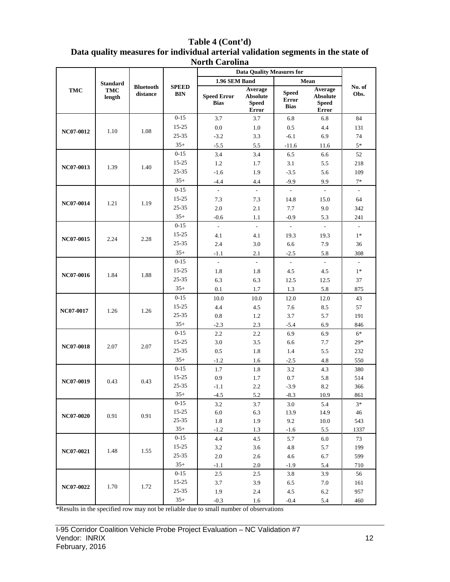| Table 4 (Cont'd)                                                                  |
|-----------------------------------------------------------------------------------|
| Data quality measures for individual arterial validation segments in the state of |
| <b>North Carolina</b>                                                             |

|                  |                 |                              |                     |                                   | <b>Data Quality Measures for</b>                    |                                             |                                                     |                          |     |
|------------------|-----------------|------------------------------|---------------------|-----------------------------------|-----------------------------------------------------|---------------------------------------------|-----------------------------------------------------|--------------------------|-----|
|                  | <b>Standard</b> |                              |                     | 1.96 SEM Band                     |                                                     |                                             | Mean                                                |                          |     |
| <b>TMC</b>       | TMC<br>length   | <b>Bluetooth</b><br>distance | <b>SPEED</b><br>BIN | <b>Speed Error</b><br><b>Bias</b> | Average<br><b>Absolute</b><br><b>Speed</b><br>Error | <b>Speed</b><br><b>Error</b><br><b>Bias</b> | Average<br><b>Absolute</b><br><b>Speed</b><br>Error | No. of<br>Obs.           |     |
|                  |                 |                              | $0 - 15$            | 3.7                               | 3.7                                                 | 6.8                                         | 6.8                                                 | 84                       |     |
|                  |                 |                              | $15 - 25$           | 0.0                               | 1.0                                                 | 0.5                                         | 4.4                                                 | 131                      |     |
| NC07-0012        | 1.10            | 1.08                         | 25-35               | $-3.2$                            | 3.3                                                 | $-6.1$                                      | 6.9                                                 | 74                       |     |
|                  |                 |                              | $35+$               | $-5.5$                            | 5.5                                                 | $-11.6$                                     | 11.6                                                | $5*$                     |     |
|                  |                 |                              | $0 - 15$            | 3.4                               | 3.4                                                 | 6.5                                         | 6.6                                                 | 52                       |     |
|                  |                 |                              | $15 - 25$           | 1.2                               | 1.7                                                 | 3.1                                         | 5.5                                                 | 218                      |     |
| NC07-0013        | 1.39            | 1.40                         | 25-35               | $-1.6$                            | 1.9                                                 | $-3.5$                                      | 5.6                                                 | 109                      |     |
|                  |                 |                              | $35+$               | $-4.4$                            | 4.4                                                 | $-9.9$                                      | 9.9                                                 | $7*$                     |     |
|                  |                 |                              | $0 - 15$            | $\overline{a}$                    | $\overline{a}$                                      | ä,                                          | $\mathbb{L}$                                        | $\sim$                   |     |
|                  | 1.21            |                              | $15 - 25$           | 7.3                               | 7.3                                                 | 14.8                                        | 15.0                                                | 64                       |     |
| NC07-0014        |                 | 1.19                         | 25-35               | 2.0                               | 2.1                                                 | 7.7                                         | 9.0                                                 | 342                      |     |
|                  |                 |                              | $35+$               | $-0.6$                            | 1.1                                                 | $-0.9$                                      | 5.3                                                 | 241                      |     |
|                  |                 |                              | $0 - 15$            | $\bar{\phantom{a}}$               | $\mathbb{L}$                                        | $\overline{\phantom{a}}$                    | $\omega$                                            | $\overline{\phantom{a}}$ |     |
|                  | 2.24            | 2.28                         | $15 - 25$           | 4.1                               | 4.1                                                 | 19.3                                        | 19.3                                                | $1*$                     |     |
| NC07-0015        |                 |                              | $25 - 35$           | 2.4                               | 3.0                                                 | 6.6                                         | 7.9                                                 | 36                       |     |
|                  |                 |                              | $35+$               | $-1.1$                            | 2.1                                                 | $-2.5$                                      | 5.8                                                 | 308                      |     |
|                  | 1.84            |                              | $0 - 15$            | $\overline{\phantom{a}}$          | $\overline{\phantom{a}}$                            | $\Box$                                      | $\sim$                                              | $\overline{\phantom{a}}$ |     |
| NC07-0016        |                 |                              | $15 - 25$           | 1.8                               | 1.8                                                 | 4.5                                         | 4.5                                                 | $1*$                     |     |
|                  |                 | 1.88                         | 25-35               | 6.3                               | 6.3                                                 | 12.5                                        | 12.5<br>5.8                                         | 37                       |     |
|                  |                 |                              | $35+$               | 0.1                               | 1.7                                                 | 1.3                                         |                                                     | 875                      |     |
|                  |                 |                              | $0 - 15$            | 10.0                              | 10.0                                                | 12.0                                        | 12.0                                                | 43                       |     |
| NC07-0017        | 1.26            |                              | 1.26                | 15-25                             | 4.4                                                 | 4.5                                         | 7.6                                                 | 8.5                      | 57  |
|                  |                 |                              |                     |                                   | 25-35                                               | 0.8                                         | 1.2                                                 | 3.7                      | 5.7 |
|                  |                 |                              | $35+$               | $-2.3$                            | 2.3                                                 | $-5.4$                                      | 6.9                                                 | 846                      |     |
|                  |                 |                              | $0 - 15$            | 2.2                               | 2.2                                                 | 6.9                                         | 6.9                                                 | $6*$                     |     |
| <b>NC07-0018</b> | 2.07            | 2.07                         | 15-25               | 3.0                               | 3.5                                                 | 6.6                                         | 7.7                                                 | $29*$                    |     |
|                  |                 |                              | 25-35               | 0.5                               | 1.8                                                 | 1.4                                         | 5.5                                                 | 232                      |     |
|                  |                 |                              | $35+$               | $-1.2$                            | 1.6                                                 | $-2.5$                                      | 4.8                                                 | 550                      |     |
|                  |                 |                              | $0 - 15$            | 1.7                               | 1.8                                                 | 3.2                                         | 4.3                                                 | 380                      |     |
| NC07-0019        | 0.43            | 0.43                         | 15-25               | 0.9                               | 1.7                                                 | $0.7\,$                                     | 5.8                                                 | 514                      |     |
|                  |                 |                              | 25-35               | $-1.1$                            | 2.2                                                 | $-3.9$                                      | 8.2                                                 | 366                      |     |
|                  |                 |                              | $35+$               | $-4.5$                            | 5.2                                                 | $-8.3$                                      | 10.9                                                | 861                      |     |
|                  |                 |                              | $0-15$              | 3.2                               | 3.7                                                 | 3.0                                         | 5.4                                                 | $3*$                     |     |
| NC07-0020        | 0.91            | 0.91                         | $15 - 25$           | $6.0\,$                           | 6.3                                                 | 13.9                                        | 14.9                                                | 46                       |     |
|                  |                 |                              | $25 - 35$<br>$35+$  | 1.8                               | 1.9                                                 | 9.2                                         | 10.0                                                | 543                      |     |
|                  |                 |                              |                     | $-1.2$                            | 1.3                                                 | $-1.6$                                      | 5.5                                                 | 1337                     |     |
|                  |                 |                              | $0-15$<br>$15 - 25$ | 4.4                               | 4.5                                                 | 5.7                                         | 6.0                                                 | 73                       |     |
| NC07-0021        | 1.48            | 1.55                         | $25 - 35$           | 3.2                               | 3.6                                                 | 4.8                                         | 5.7                                                 | 199                      |     |
|                  |                 |                              | $35+$               | $2.0\,$                           | 2.6                                                 | 4.6                                         | 6.7                                                 | 599                      |     |
|                  |                 |                              | $0 - 15$            | $-1.1$                            | 2.0                                                 | $-1.9$                                      | 5.4                                                 | 710                      |     |
|                  |                 |                              | $15 - 25$           | 2.5                               | 2.5                                                 | 3.8                                         | 3.9                                                 | 56                       |     |
| NC07-0022        | 1.70            | 1.72                         | $25 - 35$           | 3.7<br>1.9                        | 3.9<br>2.4                                          | 6.5<br>4.5                                  | 7.0                                                 | 161                      |     |
|                  |                 |                              | $35+$               |                                   |                                                     |                                             | 6.2                                                 | 957                      |     |
|                  |                 |                              |                     | $-0.3$                            | 1.6                                                 | $-0.4$                                      | 5.4                                                 | 460                      |     |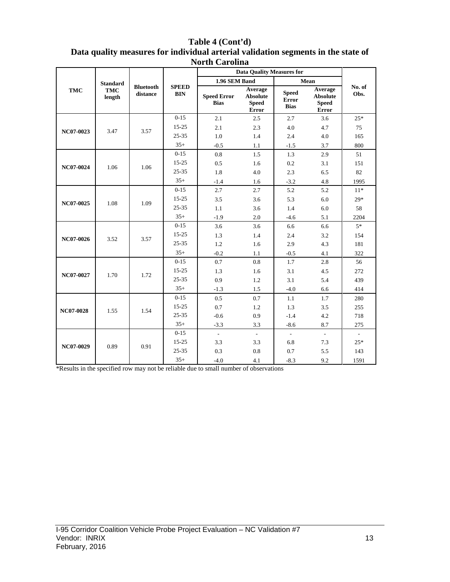|            |                      |                              |                            | <b>North Carolina</b>             |                                                     |                                             |                                                     |                             |
|------------|----------------------|------------------------------|----------------------------|-----------------------------------|-----------------------------------------------------|---------------------------------------------|-----------------------------------------------------|-----------------------------|
|            |                      |                              |                            |                                   | <b>Data Quality Measures for</b>                    |                                             |                                                     |                             |
|            | <b>Standard</b>      |                              |                            | 1.96 SEM Band                     |                                                     |                                             | Mean                                                |                             |
| <b>TMC</b> | <b>TMC</b><br>length | <b>Bluetooth</b><br>distance | <b>SPEED</b><br><b>BIN</b> | <b>Speed Error</b><br><b>Bias</b> | Average<br><b>Absolute</b><br><b>Speed</b><br>Error | <b>Speed</b><br><b>Error</b><br><b>Bias</b> | Average<br><b>Absolute</b><br><b>Speed</b><br>Error | No. of<br>Obs.              |
|            |                      |                              | $0 - 15$                   | 2.1                               | 2.5                                                 | 2.7                                         | 3.6                                                 | $25*$                       |
|            | 3.47                 | 3.57                         | $15 - 25$                  | 2.1                               | 2.3                                                 | 4.0                                         | 4.7                                                 | 75                          |
| NC07-0023  |                      |                              | $25 - 35$                  | 1.0                               | 1.4                                                 | 2.4                                         | 4.0                                                 | 165                         |
|            |                      |                              | $35+$                      | $-0.5$                            | 1.1                                                 | $-1.5$                                      | 3.7                                                 | 800                         |
|            |                      |                              | $0 - 15$                   | 0.8                               | 1.5                                                 | 1.3                                         | 2.9                                                 | 51                          |
|            | 1.06                 | 1.06                         | $15 - 25$                  | 0.5                               | 1.6                                                 | 0.2                                         | 3.1                                                 | 151                         |
| NC07-0024  |                      |                              | 25-35                      | 1.8                               | 4.0                                                 | 2.3                                         | 6.5                                                 | 82                          |
|            |                      |                              | $35+$                      | $-1.4$                            | 1.6                                                 | $-3.2$                                      | 4.8                                                 | 1995                        |
| NC07-0025  | 1.08                 |                              | $0 - 15$                   | 2.7                               | 2.7                                                 | 5.2                                         | 5.2                                                 | $11*$                       |
|            |                      | 1.09                         | $15 - 25$                  | 3.5                               | 3.6                                                 | 5.3                                         | 6.0                                                 | $29*$                       |
|            |                      |                              | $25 - 35$                  | 1.1                               | 3.6                                                 | 1.4                                         | 6.0                                                 | 58                          |
|            |                      |                              | $35+$                      | $-1.9$                            | 2.0                                                 | $-4.6$                                      | 5.1                                                 | 2204                        |
|            |                      |                              | $0 - 15$                   | 3.6                               | 3.6                                                 | 6.6                                         | 6.6                                                 | $5*$                        |
| NC07-0026  | 3.52                 | 3.57                         | $15 - 25$                  | 1.3                               | 1.4                                                 | 2.4                                         | 3.2                                                 | 154                         |
|            |                      |                              | $25 - 35$                  | 1.2                               | 1.6                                                 | 2.9                                         | 4.3                                                 | 181                         |
|            |                      |                              | $35+$                      | $-0.2$                            | 1.1                                                 | $-0.5$                                      | 4.1                                                 | 322                         |
|            |                      |                              | $0-15$                     | 0.7                               | 0.8                                                 | 1.7                                         | 2.8                                                 | 56                          |
| NC07-0027  | 1.70                 | 1.72                         | $15 - 25$                  | 1.3                               | 1.6                                                 | 3.1                                         | 4.5                                                 | 272                         |
|            |                      |                              | $25 - 35$                  | 0.9                               | 1.2                                                 | 3.1                                         | 5.4                                                 | 439                         |
|            |                      |                              | $35+$                      | $-1.3$                            | 1.5                                                 | $-4.0$                                      | 6.6                                                 | 414                         |
|            |                      |                              | $0 - 15$                   | 0.5                               | 0.7                                                 | 1.1                                         | 1.7                                                 | 280                         |
| NC07-0028  | 1.55                 | 1.54                         | $15 - 25$                  | 0.7                               | 1.2                                                 | 1.3                                         | 3.5                                                 | 255                         |
|            |                      |                              | $25 - 35$                  | $-0.6$                            | 0.9                                                 | $-1.4$                                      | 4.2                                                 | 718                         |
|            |                      |                              | $35+$                      | $-3.3$                            | 3.3                                                 | $-8.6$                                      | 8.7                                                 | 275                         |
|            |                      |                              | $0 - 15$                   | $\mathcal{L}_{\mathcal{A}}$       | $\blacksquare$                                      | $\sim$                                      | $\mathcal{L}$                                       | $\mathcal{L}_{\mathcal{A}}$ |
| NC07-0029  | 0.89                 | 0.91                         | $15 - 25$                  | 3.3                               | 3.3                                                 | 6.8                                         | 7.3                                                 | $25*$                       |
|            |                      |                              | $25 - 35$                  | 0.3                               | 0.8                                                 | 0.7                                         | 5.5                                                 | 143                         |
|            |                      |                              | $35+$                      | $-4.0$                            | 4.1                                                 | $-8.3$                                      | 9.2                                                 | 1591                        |

# **Table 4 (Cont'd) Data quality measures for individual arterial validation segments in the state of**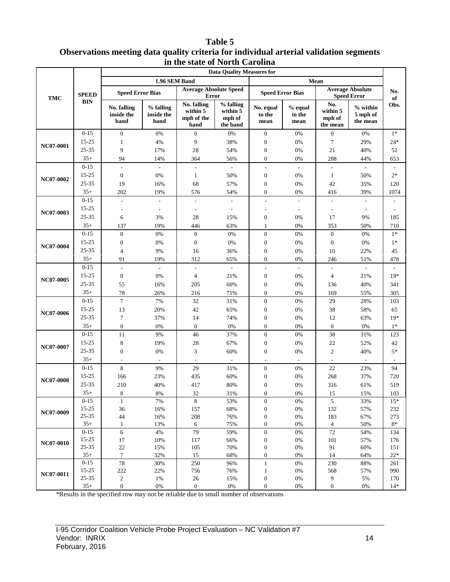#### **Table 5 Observations meeting data quality criteria for individual arterial validation segments in the state of North Carolina**

|                  |                   |                                   |                                 |                                               | <b>Data Quality Measures for</b>            |                                      |                           |                                       |                                               |            |
|------------------|-------------------|-----------------------------------|---------------------------------|-----------------------------------------------|---------------------------------------------|--------------------------------------|---------------------------|---------------------------------------|-----------------------------------------------|------------|
|                  |                   |                                   | 1.96 SEM Band                   |                                               |                                             |                                      |                           | Mean                                  |                                               |            |
| <b>TMC</b>       | <b>SPEED</b>      | <b>Speed Error Bias</b>           |                                 | <b>Average Absolute Speed</b><br><b>Error</b> |                                             | <b>Speed Error Bias</b>              |                           |                                       | <b>Average Absolute</b><br><b>Speed Error</b> | No.<br>of  |
|                  | <b>BIN</b>        | No. falling<br>inside the<br>band | % falling<br>inside the<br>band | No. falling<br>within 5<br>mph of the<br>band | % falling<br>within 5<br>mph of<br>the band | No. equal<br>to the<br>mean          | % equal<br>to the<br>mean | No.<br>within 5<br>mph of<br>the mean | $%$ within<br>5 mph of<br>the mean            | Obs.       |
|                  | $0 - 15$          | $\mathbf{0}$                      | 0%                              | $\mathbf{0}$                                  | 0%                                          | $\boldsymbol{0}$                     | 0%                        | $\boldsymbol{0}$                      | $0\%$                                         | $1*$       |
| NC07-0001        | 15-25             | 1                                 | 4%                              | 9                                             | 38%                                         | $\boldsymbol{0}$                     | 0%                        | 7                                     | 29%                                           | $24*$      |
|                  | 25-35             | 9                                 | 17%                             | 28                                            | 54%                                         | $\boldsymbol{0}$                     | 0%                        | 21                                    | 40%                                           | 52         |
|                  | $35+$             | 94                                | 14%                             | 364                                           | 56%                                         | $\boldsymbol{0}$                     | 0%                        | 288                                   | 44%                                           | 653        |
|                  | $0 - 15$          | ÷,                                |                                 | $\overline{\phantom{a}}$                      |                                             | $\overline{\phantom{a}}$             | $\overline{\phantom{a}}$  |                                       |                                               |            |
| NC07-0002        | 15-25             | $\mathbf{0}$                      | 0%                              | $\mathbf{1}$                                  | 50%                                         | $\boldsymbol{0}$                     | 0%                        | 1                                     | 50%                                           | $2*$       |
|                  | 25-35             | 19                                | 16%                             | 68                                            | 57%                                         | $\boldsymbol{0}$                     | 0%                        | 42                                    | 35%                                           | 120        |
|                  | $35+$             | 202                               | 19%                             | 576                                           | 54%                                         | $\boldsymbol{0}$                     | 0%                        | 416                                   | 39%                                           | 1074       |
|                  | $0 - 15$          |                                   |                                 | ÷.                                            |                                             | $\overline{\phantom{a}}$             | L,                        |                                       |                                               |            |
| <b>NC07-0003</b> | 15-25             |                                   |                                 |                                               |                                             |                                      | $\overline{\phantom{a}}$  |                                       |                                               |            |
|                  | 25-35             | 6                                 | 3%                              | 28                                            | 15%                                         | $\mathbf{0}$                         | 0%                        | 17                                    | 9%                                            | 185        |
|                  | $35+$             | 137                               | 19%                             | 446                                           | 63%                                         | $\mathbf{1}$                         | 0%                        | 353                                   | 50%                                           | 710        |
|                  | $0 - 15$          | $\mathbf{0}$                      | 0%                              | $\mathbf{0}$                                  | 0%                                          | $\boldsymbol{0}$                     | 0%                        | $\boldsymbol{0}$                      | 0%                                            | $1*$       |
|                  | 15-25             | $\mathbf{0}$                      | 0%                              | $\mathbf{0}$                                  | 0%                                          | $\boldsymbol{0}$                     | 0%                        | $\boldsymbol{0}$                      | 0%                                            | $1*$       |
| NC07-0004        | 25-35             | 4                                 | 9%                              | 16                                            | 36%                                         | $\mathbf{0}$                         | 0%                        | 10                                    | 22%                                           | 45         |
|                  | $35+$             | 91                                | 19%                             | 312                                           | 65%                                         | $\boldsymbol{0}$                     | 0%                        | 246                                   | 51%                                           | 478        |
| NC07-0005        | $0 - 15$          | $\overline{a}$                    | $\sim$                          | L.                                            | $\overline{\phantom{a}}$                    | $\overline{\phantom{a}}$             | $\overline{\phantom{a}}$  | $\overline{a}$                        | $\sim$                                        |            |
|                  | 15-25             | $\boldsymbol{0}$                  | 0%                              | $\overline{4}$                                | 21%                                         | $\boldsymbol{0}$                     | 0%                        | $\overline{4}$                        | 21%                                           | $19*$      |
|                  | 25-35             | 55                                | 16%                             | 205                                           | 60%                                         | $\boldsymbol{0}$                     | 0%                        | 136                                   | 40%                                           | 341        |
|                  | $35+$             | 78                                | 26%                             | 216                                           | 71%                                         | $\mathbf{0}$                         | 0%                        | 169                                   | 55%                                           | 305        |
|                  | $0 - 15$          | $\overline{7}$                    | 7%                              | 32                                            | 31%                                         | $\boldsymbol{0}$                     | 0%                        | 29                                    | 28%                                           | 103        |
| NC07-0006        | 15-25             | 13                                | 20%                             | 42                                            | 65%                                         | $\boldsymbol{0}$                     | 0%                        | 38                                    | 58%                                           | 65         |
|                  | 25-35             | $\overline{7}$                    | 37%                             | 14                                            | 74%                                         | $\boldsymbol{0}$                     | 0%                        | 12                                    | 63%                                           | $19*$      |
|                  | $35+$             | $\mathbf{0}$                      | 0%                              | $\mathbf{0}$                                  | 0%                                          | $\boldsymbol{0}$                     | 0%                        | $\boldsymbol{0}$                      | 0%                                            | $1*$       |
|                  | $0 - 15$          | 11                                | 9%                              | 46                                            | 37%                                         | $\boldsymbol{0}$                     | 0%                        | 38                                    | 31%                                           | 123        |
| <b>NC07-0007</b> | 15-25             | 8                                 | 19%                             | 28                                            | 67%                                         | $\boldsymbol{0}$                     | $0\%$                     | 22                                    | 52%                                           | 42         |
|                  | 25-35             | $\mathbf{0}$                      | 0%                              | $\mathfrak{Z}$                                | 60%                                         | $\boldsymbol{0}$                     | 0%                        | $\overline{c}$                        | 40%                                           | $5*$       |
|                  | $35+$             |                                   |                                 | $\sim$                                        | $\overline{a}$                              | $\overline{\phantom{a}}$             |                           | $\overline{\phantom{a}}$              |                                               |            |
|                  | $0 - 15$          | 8                                 | 9%                              | 29                                            | 31%                                         | $\boldsymbol{0}$                     | 0%                        | 22                                    | 23%                                           | 94         |
| <b>NC07-0008</b> | 15-25             | 166                               | 23%                             | 435                                           | 60%                                         | $\mathbf{0}$                         | 0%                        | 268                                   | 37%                                           | 720        |
|                  | 25-35             | 210                               | 40%                             | 417                                           | 80%                                         | $\mathbf{0}$                         | 0%                        | 316                                   | 61%                                           | 519        |
|                  | $35+$             | $\,8\,$                           | $8\%$                           | 32                                            | 31%                                         | $\boldsymbol{0}$                     | $0\%$                     | 15                                    | 15%                                           | 103        |
|                  | $0-15$            | 1                                 | 7%                              | $\,8\,$                                       | 53%                                         | $\boldsymbol{0}$                     | $0\%$                     | 5                                     | 33%                                           | $15*$      |
| NC07-0009        | 15-25             | 36                                | 16%                             | 157                                           | 68%                                         | $\boldsymbol{0}$                     | 0%                        | 132                                   | 57%                                           | 232        |
|                  | 25-35             | 44                                | 16%                             | 208                                           | 76%                                         | $\boldsymbol{0}$                     | $0\%$                     | 183                                   | 67%                                           | 273        |
|                  | $35+$<br>$0 - 15$ | $\mathbf{1}$                      | 13%                             | $\sqrt{6}$                                    | 75%                                         | $\boldsymbol{0}$                     | 0%                        | $\overline{4}$                        | 50%                                           | $8\,^*$    |
|                  | 15-25             | $\sqrt{6}$<br>17                  | 4%<br>10%                       | 79<br>117                                     | 59%<br>66%                                  | $\boldsymbol{0}$<br>$\boldsymbol{0}$ | $0\%$<br>$0\%$            | $72\,$<br>101                         | 54%<br>57%                                    | 134<br>176 |
| NC07-0010        | 25-35             | $22\,$                            | 15%                             | 105                                           | 70%                                         | $\boldsymbol{0}$                     | 0%                        | 91                                    | 60%                                           | 151        |
|                  | $35+$             | $\boldsymbol{7}$                  | 32%                             | 15                                            | 68%                                         | $\boldsymbol{0}$                     | 0%                        | 14                                    | 64%                                           | $22\,^*$   |
|                  | $0 - 15$          | 78                                | 30%                             | 250                                           | 96%                                         | $\mathbf{1}$                         | $0\%$                     | 230                                   | 88%                                           | 261        |
|                  | 15-25             | 222                               | 22%                             | 756                                           | 76%                                         | $\mathbf{1}$                         | 0%                        | 568                                   | 57%                                           | 990        |
| NC07-0011        | $25 - 35$         | $\sqrt{2}$                        | 1%                              | 26                                            | 15%                                         | $\boldsymbol{0}$                     | $0\%$                     | 9                                     | 5%                                            | 170        |
|                  | $35+$             | $\boldsymbol{0}$                  | $0\%$                           | $\mathbf{0}$                                  | 0%                                          | $\boldsymbol{0}$                     | $0\%$                     | $\boldsymbol{0}$                      | 0%                                            | $14*$      |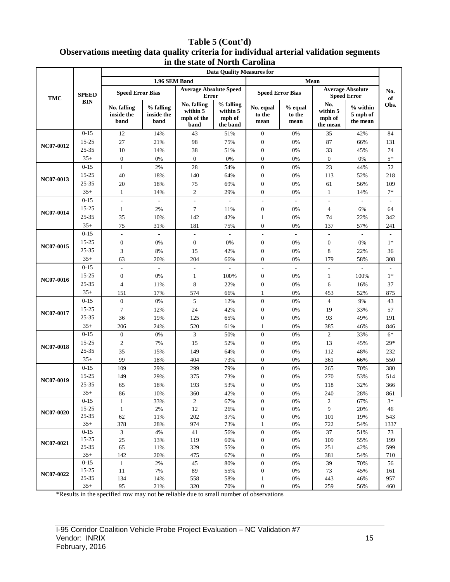## **Table 5 (Cont'd) Observations meeting data quality criteria for individual arterial validation segments in the state of North Carolina**

| <b>Data Quality Measures for</b> |                    |                                   |                                 |                                               |                                             |                                      |                             |                                       |                                               |           |
|----------------------------------|--------------------|-----------------------------------|---------------------------------|-----------------------------------------------|---------------------------------------------|--------------------------------------|-----------------------------|---------------------------------------|-----------------------------------------------|-----------|
|                                  |                    |                                   | 1.96 SEM Band                   |                                               |                                             |                                      |                             | Mean                                  |                                               |           |
| <b>TMC</b>                       | <b>SPEED</b>       | <b>Speed Error Bias</b>           |                                 | <b>Average Absolute Speed</b><br><b>Error</b> |                                             | <b>Speed Error Bias</b>              |                             |                                       | <b>Average Absolute</b><br><b>Speed Error</b> | No.<br>of |
|                                  | <b>BIN</b>         | No. falling<br>inside the<br>band | % falling<br>inside the<br>band | No. falling<br>within 5<br>mph of the<br>band | % falling<br>within 5<br>mph of<br>the band | No. equal<br>to the<br>mean          | $%$ equal<br>to the<br>mean | No.<br>within 5<br>mph of<br>the mean | $%$ within<br>5 mph of<br>the mean            | Obs.      |
|                                  | $0 - 15$           | 12                                | 14%                             | 43                                            | 51%                                         | $\boldsymbol{0}$                     | 0%                          | 35                                    | 42%                                           | 84        |
| NC07-0012                        | $15 - 25$          | 27                                | 21%                             | 98                                            | 75%                                         | $\boldsymbol{0}$                     | 0%                          | 87                                    | 66%                                           | 131       |
|                                  | $25 - 35$          | 10                                | 14%                             | 38                                            | 51%                                         | $\boldsymbol{0}$                     | 0%                          | 33                                    | 45%                                           | 74        |
|                                  | $35+$              | $\mathbf{0}$                      | 0%                              | $\mathbf{0}$                                  | 0%                                          | $\boldsymbol{0}$                     | 0%                          | $\mathbf{0}$                          | 0%                                            | $5*$      |
|                                  | $0 - 15$           | $\mathbf{1}$                      | 2%                              | 28                                            | 54%                                         | $\boldsymbol{0}$                     | 0%                          | 23                                    | 44%                                           | 52        |
| NC07-0013                        | 15-25              | 40                                | 18%                             | 140                                           | 64%                                         | $\boldsymbol{0}$                     | 0%                          | 113                                   | 52%                                           | 218       |
|                                  | 25-35              | $20\,$                            | 18%                             | 75                                            | 69%                                         | $\boldsymbol{0}$                     | $0\%$                       | 61                                    | 56%                                           | 109       |
|                                  | $35+$              | 1                                 | 14%                             | $\overline{c}$                                | 29%                                         | $\boldsymbol{0}$                     | 0%                          | $\mathbf{1}$                          | 14%                                           | $7*$      |
|                                  | $0 - 15$           | $\overline{a}$                    |                                 | $\overline{a}$                                |                                             | ÷,                                   |                             | $\overline{a}$                        |                                               |           |
| NC07-0014                        | 15-25              | 1                                 | 2%                              | $\overline{7}$                                | 11%                                         | $\boldsymbol{0}$                     | 0%                          | $\overline{4}$                        | 6%                                            | 64        |
|                                  | 25-35              | 35                                | 10%                             | 142                                           | 42%                                         | $\mathbf{1}$                         | 0%                          | 74                                    | 22%                                           | 342       |
|                                  | $35+$              | 75                                | 31%                             | 181                                           | 75%                                         | $\boldsymbol{0}$                     | 0%                          | 137                                   | 57%                                           | 241       |
|                                  | $0 - 15$           | $\frac{1}{2}$                     | $\Box$                          | $\overline{\phantom{a}}$                      | $\Box$                                      | $\overline{\phantom{a}}$             | $\overline{\phantom{a}}$    | $\blacksquare$                        | $\blacksquare$                                |           |
|                                  | 15-25              | $\boldsymbol{0}$                  | 0%                              | $\boldsymbol{0}$                              | 0%                                          | $\boldsymbol{0}$                     | 0%                          | $\boldsymbol{0}$                      | 0%                                            | $1*$      |
| NC07-0015                        | 25-35              | 3                                 | $8\%$                           | 15                                            | 42%                                         | $\boldsymbol{0}$                     | 0%                          | 8                                     | 22%                                           | 36        |
|                                  | $35+$              | 63                                | 20%                             | 204                                           | 66%                                         | $\boldsymbol{0}$                     | $0\%$                       | 179                                   | 58%                                           | 308       |
|                                  | $0 - 15$           | ÷,                                | $\overline{\phantom{a}}$        | $\overline{\phantom{a}}$                      |                                             | ÷,                                   | $\overline{\phantom{a}}$    | L,                                    | ÷                                             |           |
| NC07-0016                        | 15-25              | $\boldsymbol{0}$                  | 0%                              | $\mathbf{1}$                                  | 100%                                        | $\boldsymbol{0}$                     | 0%                          | $\mathbf{1}$                          | 100%                                          | $1*$      |
|                                  | $25 - 35$          | $\overline{4}$                    | 11%                             | 8                                             | 22%                                         | $\boldsymbol{0}$                     | 0%                          | 6                                     | 16%                                           | 37        |
|                                  | $35+$              | 151                               | 17%                             | 574                                           | 66%                                         | $\mathbf{1}$                         | 0%                          | 453                                   | 52%                                           | 875       |
|                                  | $0 - 15$           | $\mathbf{0}$                      | $0\%$                           | 5                                             | 12%                                         | $\boldsymbol{0}$                     | 0%                          | $\overline{4}$                        | 9%                                            | 43        |
| NC07-0017                        | 15-25              | $\overline{7}$                    | 12%                             | 24                                            | 42%                                         | $\boldsymbol{0}$                     | 0%                          | 19                                    | 33%                                           | 57        |
|                                  | 25-35              | 36                                | 19%                             | 125                                           | 65%                                         | $\boldsymbol{0}$                     | 0%                          | 93                                    | 49%                                           | 191       |
|                                  | $35+$              | 206                               | 24%                             | 520                                           | 61%                                         | 1                                    | 0%                          | 385                                   | 46%                                           | 846       |
|                                  | $0 - 15$           | $\mathbf{0}$                      | 0%                              | 3                                             | 50%                                         | $\boldsymbol{0}$                     | 0%                          | $\mathbf{2}$                          | 33%                                           | $6*$      |
|                                  | 15-25              | $\mathfrak{2}$                    | 7%                              | 15                                            | 52%                                         | $\boldsymbol{0}$                     | 0%                          | 13                                    | 45%                                           | $29*$     |
| <b>NC07-0018</b>                 | 25-35              | 35                                | 15%                             | 149                                           | 64%                                         | $\boldsymbol{0}$                     | 0%                          | 112                                   | 48%                                           | 232       |
|                                  | $35+$              | 99                                | 18%                             | 404                                           | 73%                                         | $\boldsymbol{0}$                     | 0%                          | 361                                   | 66%                                           | 550       |
|                                  | $0 - 15$           | 109                               | 29%                             | 299                                           | 79%                                         | $\boldsymbol{0}$                     | $0\%$                       | 265                                   | 70%                                           | 380       |
|                                  | 15-25              | 149                               | 29%                             | 375                                           | 73%                                         | $\boldsymbol{0}$                     | 0%                          | 270                                   | 53%                                           | 514       |
| NC07-0019                        | 25-35              | 65                                | 18%                             | 193                                           | 53%                                         | $\boldsymbol{0}$                     | 0%                          | 118                                   | 32%                                           | 366       |
|                                  | $35+$              | 86                                | 10%                             | 360                                           | 42%                                         | 0                                    | $0\%$                       | 240                                   | 28%                                           | 861       |
|                                  | $0-15$             | $\mathbf{1}$                      | 33%                             | $\mathbf{2}$                                  | 67%                                         | $\boldsymbol{0}$                     | 0%                          | $\sqrt{2}$                            | 67%                                           | $3*$      |
| NC07-0020                        | 15-25              | 1                                 | $2\%$                           | 12                                            | 26%                                         | $\boldsymbol{0}$                     | 0%                          | 9                                     | 20%                                           | 46        |
|                                  | $25 - 35$          | 62                                | 11%                             | 202                                           | 37%                                         | $\boldsymbol{0}$                     | $0\%$                       | 101                                   | 19%                                           | 543       |
|                                  | $35+$              | 378                               | 28%                             | 974                                           | 73%                                         | $\mathbf{1}$                         | 0%                          | 722                                   | 54%                                           | 1337      |
|                                  | $0 - 15$           | $\mathfrak{Z}$                    | 4%                              | 41                                            | 56%                                         | $\boldsymbol{0}$                     | 0%                          | 37                                    | 51%                                           | 73        |
| NC07-0021                        | 15-25              | $25\,$                            | 13%                             | 119                                           | 60%                                         | $\boldsymbol{0}$                     | 0%                          | 109                                   | 55%                                           | 199       |
|                                  | $25 - 35$<br>$35+$ | 65                                | 11%                             | 329                                           | 55%                                         | $\boldsymbol{0}$                     | 0%                          | 251                                   | 42%                                           | 599       |
|                                  | $0 - 15$           | 142<br>$\mathbf{1}$               | 20%<br>2%                       | 475<br>45                                     | 67%<br>$80\%$                               | $\boldsymbol{0}$<br>$\boldsymbol{0}$ | 0%<br>$0\%$                 | 381<br>39                             | 54%<br>70%                                    | 710<br>56 |
|                                  | 15-25              | 11                                | 7%                              | 89                                            | 55%                                         | $\boldsymbol{0}$                     | 0%                          | 73                                    | 45%                                           | 161       |
| NC07-0022                        | 25-35              | 134                               | 14%                             | 558                                           | 58%                                         | $\mathbf{1}$                         | $0\%$                       | 443                                   | 46%                                           | 957       |
|                                  | $35+$              | 95                                | 21%                             | 320                                           | 70%                                         | $\boldsymbol{0}$                     | 0%                          | 259                                   | 56%                                           | 460       |
|                                  |                    |                                   |                                 |                                               |                                             |                                      |                             |                                       |                                               |           |